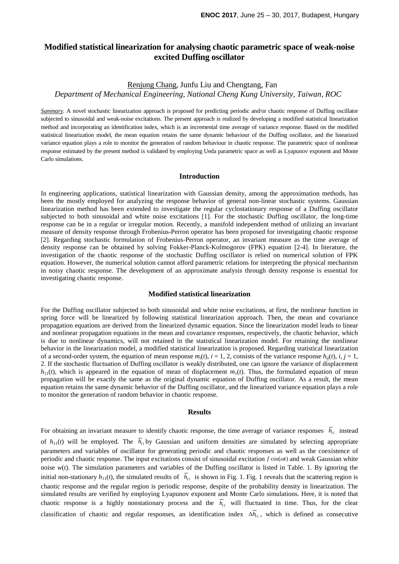# **Modified statistical linearization for analysing chaotic parametric space of weak-noise excited Duffing oscillator**

## Renjung Chang, Junfu Liu and Chengtang, Fan

*Department of Mechanical Engineering, National Cheng Kung University, Taiwan, ROC*

*Summary*. A novel stochastic linearization approach is proposed for predicting periodic and/or chaotic response of Duffing oscillator subjected to sinusoidal and weak-noise excitations. The present approach is realized by developing a modified statistical linearization method and incorporating an identification index, which is an incremental time average of variance response. Based on the modified statistical linearization model, the mean equation retains the same dynamic behaviour of the Duffing oscillator, and the linearized variance equation plays a role to monitor the generation of random behaviour in chaotic response. The parametric space of nonlinear response estimated by the present method is validated by employing Ueda parametric space as well as Lyapunov exponent and Monte Carlo simulations.

#### **Introduction**

In engineering applications, statistical linearization with Gaussian density, among the approximation methods, has been the mostly employed for analyzing the response behavior of general non-linear stochastic systems. Gaussian linearization method has been extended to investigate the regular cyclostationary response of a Duffing oscillator subjected to both sinusoidal and white noise excitations [1]. For the stochastic Duffing oscillator, the long-time response can be in a regular or irregular motion. Recently, a manifold independent method of utilizing an invariant measure of density response through Frobenius-Perron operator has been proposed for investigating chaotic response [2]. Regarding stochastic formulation of Frobenius-Perron operator, an invariant measure as the time average of density response can be obtained by solving Fokker-Planck-Kolmogorov (FPK) equation [2-4]. In literature, the investigation of the chaotic response of the stochastic Duffing oscillator is relied on numerical solution of FPK equation. However, the numerical solution cannot afford parametric relations for interpreting the physical mechanism in noisy chaotic response. The development of an approximate analysis through density response is essential for investigating chaotic response.

### **Modified statistical linearization**

For the Duffing oscillator subjected to both sinusoidal and white noise excitations, at first, the nonlinear function in spring force will be linearized by following statistical linearization approach. Then, the mean and covariance propagation equations are derived from the linearized dynamic equation. Since the linearization model leads to linear and nonlinear propagation equations in the mean and covariance responses, respectively, the chaotic behavior, which is due to nonlinear dynamics, will not retained in the statistical linearization model. For retaining the nonlinear behavior in the linearization model, a modified statistical linearization is proposed. Regarding statistical linearization of a second-order system, the equation of mean response  $m_i(t)$ ,  $i = 1, 2$ , consists of the variance response  $h_i(t)$ ,  $i, j = 1$ , 2. If the stochastic fluctuation of Duffing oscillator is weakly distributed, one can ignore the variance of displacement  $h_{11}(t)$ , which is appeared in the equation of mean of displacement  $m_1(t)$ . Thus, the formulated equation of mean propagation will be exactly the same as the original dynamic equation of Duffing oscillator. As a result, the mean equation retains the same dynamic behavior of the Duffing oscillator, and the linearized variance equation plays a role to monitor the generation of random behavior in chaotic response.

#### **Results**

For obtaining an invariant measure to identify chaotic response, the time average of variance responses  $\bar{h}_{11}$  instead of  $h_{11}(t)$  will be employed. The  $\overline{h}_{11}$  by Gaussian and uniform densities are simulated by selecting appropriate parameters and variables of oscillator for generating periodic and chaotic responses as well as the coexistence of periodic and chaotic response. The input excitations consist of sinusoidal excitation *f* cos(*ot*) and weak Gaussian white noise *w*(*t*). The simulation parameters and variables of the Duffing oscillator is listed in Table. 1. By ignoring the initial non-stationary  $h_{11}(t)$ , the simulated results of  $\bar{h}_{11}$  is shown in Fig. 1. Fig. 1 reveals that the scattering region is chaotic response and the regular region is periodic response, despite of the probability density in linearization. The simulated results are verified by employing Lyapunov exponent and Monte Carlo simulations. Here, it is noted that chaotic response is a highly nonstationary process and the  $\overline{h}_{11}$  will fluctuated in time. Thus, for the clear classification of chaotic and regular responses, an identification index ∆*h*<sub>11</sub>, which is defined as consecutive